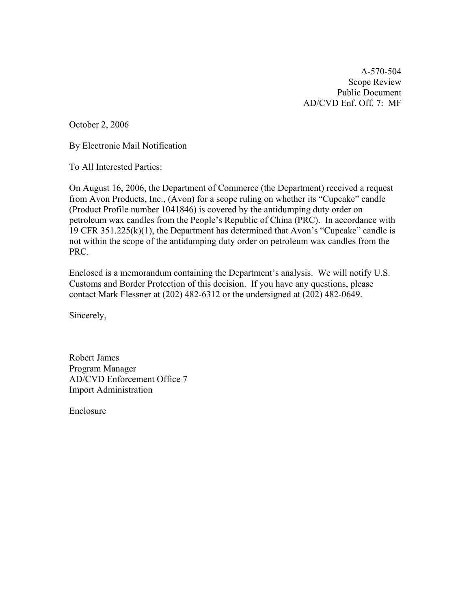A-570-504 Scope Review Public Document AD/CVD Enf. Off. 7: MF

October 2, 2006

By Electronic Mail Notification

To All Interested Parties:

On August 16, 2006, the Department of Commerce (the Department) received a request from Avon Products, Inc., (Avon) for a scope ruling on whether its "Cupcake" candle (Product Profile number 1041846) is covered by the antidumping duty order on petroleum wax candles from the People's Republic of China (PRC). In accordance with 19 CFR 351.225(k)(1), the Department has determined that Avon's "Cupcake" candle is not within the scope of the antidumping duty order on petroleum wax candles from the PRC.

Enclosed is a memorandum containing the Department's analysis. We will notify U.S. Customs and Border Protection of this decision. If you have any questions, please contact Mark Flessner at (202) 482-6312 or the undersigned at (202) 482-0649.

Sincerely,

Robert James Program Manager AD/CVD Enforcement Office 7 Import Administration

Enclosure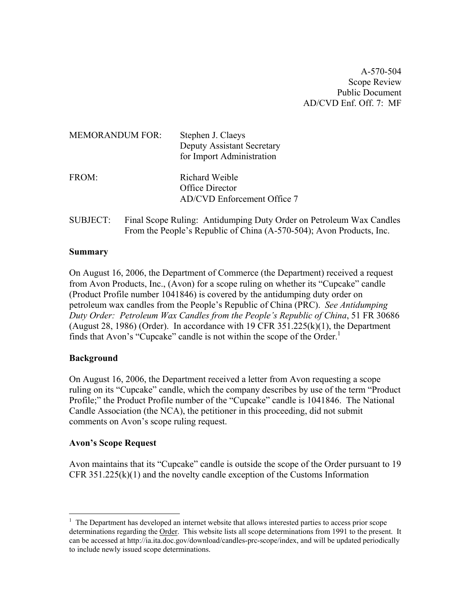A-570-504 Scope Review Public Document AD/CVD Enf. Off.  $7 \cdot MF$ 

| <b>MEMORANDUM FOR:</b> | Stephen J. Claeys<br>Deputy Assistant Secretary<br>for Import Administration |
|------------------------|------------------------------------------------------------------------------|
| FROM:                  | Richard Weible<br>Office Director<br>AD/CVD Enforcement Office 7             |

SUBJECT: Final Scope Ruling: Antidumping Duty Order on Petroleum Wax Candles From the People's Republic of China (A-570-504); Avon Products, Inc.

## **Summary**

On August 16, 2006, the Department of Commerce (the Department) received a request from Avon Products, Inc., (Avon) for a scope ruling on whether its "Cupcake" candle (Product Profile number 1041846) is covered by the antidumping duty order on petroleum wax candles from the People's Republic of China (PRC). *See Antidumping Duty Order: Petroleum Wax Candles from the People's Republic of China*, 51 FR 30686 (August 28, 1986) (Order). In accordance with 19 CFR  $351.225(k)(1)$ , the Department finds that Avon's "Cupcake" candle is not within the scope of the Order.<sup>[1](#page-1-0)</sup>

### **Background**

 $\overline{a}$ 

On August 16, 2006, the Department received a letter from Avon requesting a scope ruling on its "Cupcake" candle, which the company describes by use of the term "Product Profile;" the Product Profile number of the "Cupcake" candle is 1041846. The National Candle Association (the NCA), the petitioner in this proceeding, did not submit comments on Avon's scope ruling request.

### **Avon's Scope Request**

Avon maintains that its "Cupcake" candle is outside the scope of the Order pursuant to 19 CFR 351.225(k)(1) and the novelty candle exception of the Customs Information

<span id="page-1-0"></span><sup>&</sup>lt;sup>1</sup> The Department has developed an internet website that allows interested parties to access prior scope determinations regarding the Order. This website lists all scope determinations from 1991 to the present. It can be accessed at [http://ia.ita.doc.gov/download/candles-prc-scope/index,](http://ia.ita.doc.gov/download/candles-prc-scope/,) and will be updated periodically to include newly issued scope determinations.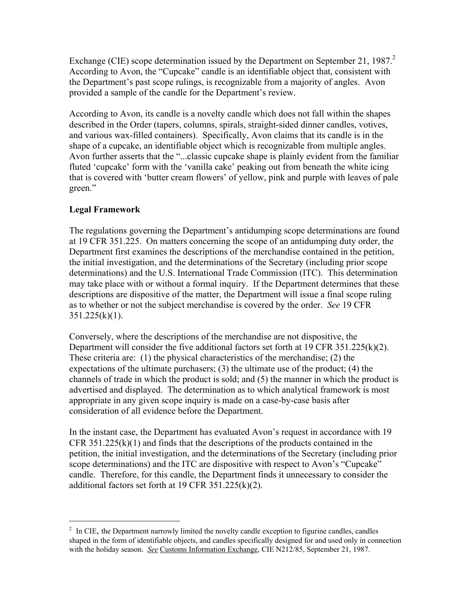Exchange (CIE) scope determination issued by the Department on September [2](#page-2-0)1, 1987. $2$ According to Avon, the "Cupcake" candle is an identifiable object that, consistent with the Department's past scope rulings, is recognizable from a majority of angles. Avon provided a sample of the candle for the Department's review.

According to Avon, its candle is a novelty candle which does not fall within the shapes described in the Order (tapers, columns, spirals, straight-sided dinner candles, votives, and various wax-filled containers). Specifically, Avon claims that its candle is in the shape of a cupcake, an identifiable object which is recognizable from multiple angles. Avon further asserts that the "...classic cupcake shape is plainly evident from the familiar fluted 'cupcake' form with the 'vanilla cake' peaking out from beneath the white icing that is covered with 'butter cream flowers' of yellow, pink and purple with leaves of pale green."

# **Legal Framework**

 $\overline{a}$ 

The regulations governing the Department's antidumping scope determinations are found at 19 CFR 351.225. On matters concerning the scope of an antidumping duty order, the Department first examines the descriptions of the merchandise contained in the petition, the initial investigation, and the determinations of the Secretary (including prior scope determinations) and the U.S. International Trade Commission (ITC). This determination may take place with or without a formal inquiry. If the Department determines that these descriptions are dispositive of the matter, the Department will issue a final scope ruling as to whether or not the subject merchandise is covered by the order. *See* 19 CFR  $351.225(k)(1)$ .

Conversely, where the descriptions of the merchandise are not dispositive, the Department will consider the five additional factors set forth at 19 CFR 351.225(k)(2). These criteria are: (1) the physical characteristics of the merchandise; (2) the expectations of the ultimate purchasers; (3) the ultimate use of the product; (4) the channels of trade in which the product is sold; and (5) the manner in which the product is advertised and displayed. The determination as to which analytical framework is most appropriate in any given scope inquiry is made on a case-by-case basis after consideration of all evidence before the Department.

In the instant case, the Department has evaluated Avon's request in accordance with 19 CFR  $351.225(k)(1)$  and finds that the descriptions of the products contained in the petition, the initial investigation, and the determinations of the Secretary (including prior scope determinations) and the ITC are dispositive with respect to Avon's "Cupcake" candle. Therefore, for this candle, the Department finds it unnecessary to consider the additional factors set forth at 19 CFR 351.225(k)(2).

<span id="page-2-0"></span> $2\;\;$  In CIE, the Department narrowly limited the novelty candle exception to figurine candles, candles shaped in the form of identifiable objects, and candles specifically designed for and used only in connection with the holiday season. *See* Customs Information Exchange, CIE N212/85, September 21, 1987.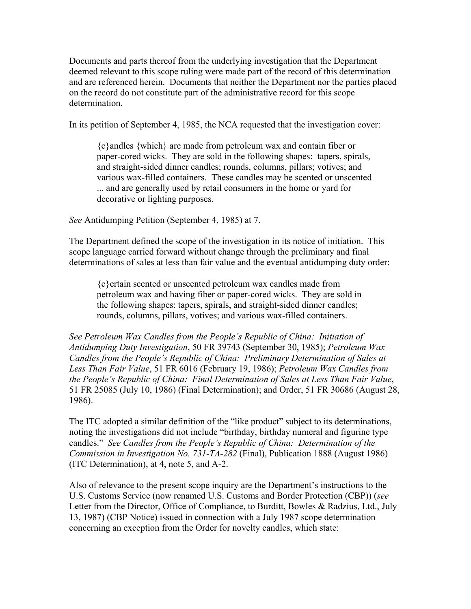Documents and parts thereof from the underlying investigation that the Department deemed relevant to this scope ruling were made part of the record of this determination and are referenced herein. Documents that neither the Department nor the parties placed on the record do not constitute part of the administrative record for this scope determination.

In its petition of September 4, 1985, the NCA requested that the investigation cover:

{c}andles {which} are made from petroleum wax and contain fiber or paper-cored wicks. They are sold in the following shapes: tapers, spirals, and straight-sided dinner candles; rounds, columns, pillars; votives; and various wax-filled containers. These candles may be scented or unscented ... and are generally used by retail consumers in the home or yard for decorative or lighting purposes.

*See* Antidumping Petition (September 4, 1985) at 7.

The Department defined the scope of the investigation in its notice of initiation. This scope language carried forward without change through the preliminary and final determinations of sales at less than fair value and the eventual antidumping duty order:

{c}ertain scented or unscented petroleum wax candles made from petroleum wax and having fiber or paper-cored wicks. They are sold in the following shapes: tapers, spirals, and straight-sided dinner candles; rounds, columns, pillars, votives; and various wax-filled containers.

*See Petroleum Wax Candles from the People's Republic of China: Initiation of Antidumping Duty Investigation*, 50 FR 39743 (September 30, 1985); *Petroleum Wax Candles from the People's Republic of China: Preliminary Determination of Sales at Less Than Fair Value*, 51 FR 6016 (February 19, 1986); *Petroleum Wax Candles from the People's Republic of China: Final Determination of Sales at Less Than Fair Value*, 51 FR 25085 (July 10, 1986) (Final Determination); and Order, 51 FR 30686 (August 28, 1986).

The ITC adopted a similar definition of the "like product" subject to its determinations, noting the investigations did not include "birthday, birthday numeral and figurine type candles." *See Candles from the People's Republic of China: Determination of the Commission in Investigation No. 731-TA-282* (Final), Publication 1888 (August 1986) (ITC Determination), at 4, note 5, and A-2.

Also of relevance to the present scope inquiry are the Department's instructions to the U.S. Customs Service (now renamed U.S. Customs and Border Protection (CBP)) (*see* Letter from the Director, Office of Compliance, to Burditt, Bowles & Radzius, Ltd., July 13, 1987) (CBP Notice) issued in connection with a July 1987 scope determination concerning an exception from the Order for novelty candles, which state: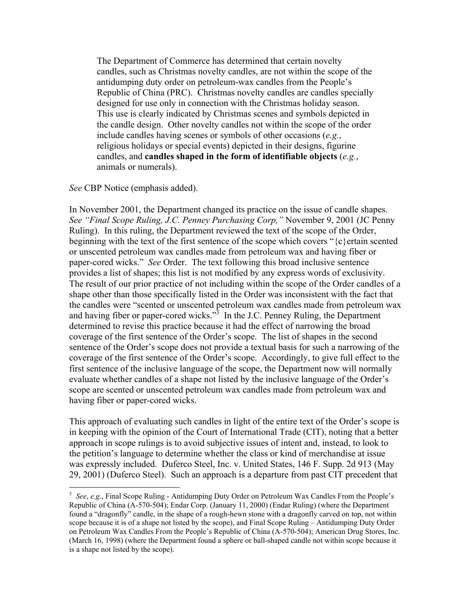The Department of Commerce has determined that certain novelty candles, such as Christmas novelty candles, are not within the scope of the antidumping duty order on petroleum-wax candles from the People's Republic of China (PRC). Christmas novelty candles are candles specially designed for use only in connection with the Christmas holiday season. This use is clearly indicated by Christmas scenes and symbols depicted in the candle design. Other novelty candles not within the scope of the order include candles having scenes or symbols of other occasions (*e.g.*, religious holidays or special events) depicted in their designs, figurine candles, and **candles shaped in the form of identifiable objects** (*e.g.*, animals or numerals).

## *See* CBP Notice (emphasis added).

 $\overline{a}$ 

In November 2001, the Department changed its practice on the issue of candle shapes. *See "Final Scope Ruling, J.C. Penney Purchasing Corp,"* November 9, 2001 (JC Penny Ruling). In this ruling, the Department reviewed the text of the scope of the Order, beginning with the text of the first sentence of the scope which covers "{c}ertain scented or unscented petroleum wax candles made from petroleum wax and having fiber or paper-cored wicks." *See* Order. The text following this broad inclusive sentence provides a list of shapes; this list is not modified by any express words of exclusivity. The result of our prior practice of not including within the scope of the Order candles of a shape other than those specifically listed in the Order was inconsistent with the fact that the candles were "scented or unscented petroleum wax candles made from petroleum wax and having fiber or paper-cored wicks. $\mathbb{R}^3$  In the J.C. Penney Ruling, the Department determined to revise this practice because it had the effect of narrowing the broad coverage of the first sentence of the Order's scope. The list of shapes in the second sentence of the Order's scope does not provide a textual basis for such a narrowing of the coverage of the first sentence of the Order's scope. Accordingly, to give full effect to the first sentence of the inclusive language of the scope, the Department now will normally evaluate whether candles of a shape not listed by the inclusive language of the Order's scope are scented or unscented petroleum wax candles made from petroleum wax and having fiber or paper-cored wicks.

This approach of evaluating such candles in light of the entire text of the Order's scope is in keeping with the opinion of the Court of International Trade (CIT), noting that a better approach in scope rulings is to avoid subjective issues of intent and, instead, to look to the petition's language to determine whether the class or kind of merchandise at issue was expressly included. Duferco Steel, Inc. v. United States, 146 F. Supp. 2d 913 (May 29, 2001) (Duferco Steel). Such an approach is a departure from past CIT precedent that

<span id="page-4-0"></span><sup>3</sup> *See*, *e.g*., Final Scope Ruling - Antidumping Duty Order on Petroleum Wax Candles From the People's Republic of China (A-570-504); Endar Corp. (January 11, 2000) (Endar Ruling) (where the Department found a "dragonfly" candle, in the shape of a rough-hewn stone with a dragonfly carved on top, not within scope because it is of a shape not listed by the scope), and Final Scope Ruling – Antidumping Duty Order on Petroleum Wax Candles From the People's Republic of China (A-570-504); American Drug Stores, Inc. (March 16, 1998) (where the Department found a sphere or ball-shaped candle not within scope because it is a shape not listed by the scope).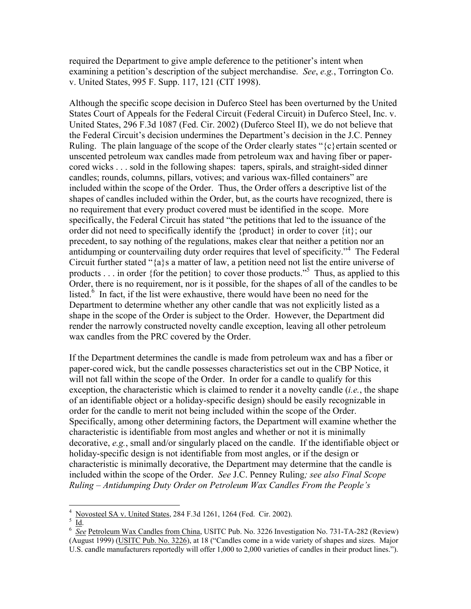required the Department to give ample deference to the petitioner's intent when examining a petition's description of the subject merchandise. *See*, *e.g.*, Torrington Co. v. United States, 995 F. Supp. 117, 121 (CIT 1998).

Although the specific scope decision in Duferco Steel has been overturned by the United States Court of Appeals for the Federal Circuit (Federal Circuit) in Duferco Steel, Inc. v. United States, 296 F.3d 1087 (Fed. Cir. 2002) (Duferco Steel II), we do not believe that the Federal Circuit's decision undermines the Department's decision in the J.C. Penney Ruling. The plain language of the scope of the Order clearly states "{c}ertain scented or unscented petroleum wax candles made from petroleum wax and having fiber or papercored wicks . . . sold in the following shapes: tapers, spirals, and straight-sided dinner candles; rounds, columns, pillars, votives; and various wax-filled containers" are included within the scope of the Order. Thus, the Order offers a descriptive list of the shapes of candles included within the Order, but, as the courts have recognized, there is no requirement that every product covered must be identified in the scope. More specifically, the Federal Circuit has stated "the petitions that led to the issuance of the order did not need to specifically identify the {product} in order to cover {it}; our precedent, to say nothing of the regulations, makes clear that neither a petition nor an antidumping or countervailing duty order requires that level of specificity."<sup>[4](#page-5-0)</sup> The Federal Circuit further stated "{a}s a matter of law, a petition need not list the entire universe of products . . . in order {for the petition} to cover those products."<sup>[5](#page-5-1)</sup> Thus, as applied to this Order, there is no requirement, nor is it possible, for the shapes of all of the candles to be listed.<sup>6</sup> In fact, if the list were exhaustive, there would have been no need for the Department to determine whether any other candle that was not explicitly listed as a shape in the scope of the Order is subject to the Order. However, the Department did render the narrowly constructed novelty candle exception, leaving all other petroleum wax candles from the PRC covered by the Order.

If the Department determines the candle is made from petroleum wax and has a fiber or paper-cored wick, but the candle possesses characteristics set out in the CBP Notice, it will not fall within the scope of the Order. In order for a candle to qualify for this exception, the characteristic which is claimed to render it a novelty candle (*i.e.*, the shape of an identifiable object or a holiday-specific design) should be easily recognizable in order for the candle to merit not being included within the scope of the Order. Specifically, among other determining factors, the Department will examine whether the characteristic is identifiable from most angles and whether or not it is minimally decorative, *e.g.*, small and/or singularly placed on the candle. If the identifiable object or holiday-specific design is not identifiable from most angles, or if the design or characteristic is minimally decorative, the Department may determine that the candle is included within the scope of the Order. *See* J.C. Penney Ruling*; see also Final Scope Ruling – Antidumping Duty Order on Petroleum Wax Candles From the People's* 

 $\overline{a}$ 

<span id="page-5-0"></span> $\frac{4}{5}$  Novosteel SA v. United States, 284 F.3d 1261, 1264 (Fed. Cir. 2002).

<span id="page-5-1"></span> $\frac{5}{10}$ .

<span id="page-5-2"></span><sup>&</sup>lt;sup>6</sup> See Petroleum Wax Candles from China, USITC Pub. No. 3226 Investigation No. 731-TA-282 (Review) (August 1999) (USITC Pub. No. 3226), at 18 ("Candles come in a wide variety of shapes and sizes. Major U.S. candle manufacturers reportedly will offer 1,000 to 2,000 varieties of candles in their product lines.").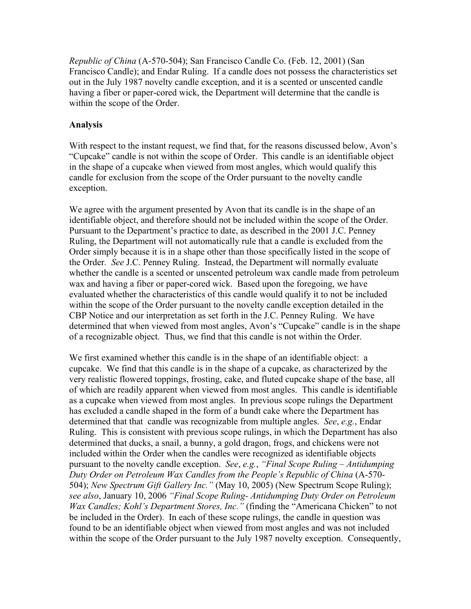*Republic of China* (A-570-504); San Francisco Candle Co. (Feb. 12, 2001) (San Francisco Candle); and Endar Ruling. If a candle does not possess the characteristics set out in the July 1987 novelty candle exception, and it is a scented or unscented candle having a fiber or paper-cored wick, the Department will determine that the candle is within the scope of the Order.

## **Analysis**

With respect to the instant request, we find that, for the reasons discussed below, Avon's "Cupcake" candle is not within the scope of Order. This candle is an identifiable object in the shape of a cupcake when viewed from most angles, which would qualify this candle for exclusion from the scope of the Order pursuant to the novelty candle exception.

We agree with the argument presented by Avon that its candle is in the shape of an identifiable object, and therefore should not be included within the scope of the Order. Pursuant to the Department's practice to date, as described in the 2001 J.C. Penney Ruling, the Department will not automatically rule that a candle is excluded from the Order simply because it is in a shape other than those specifically listed in the scope of the Order*. See* J.C. Penney Ruling. Instead, the Department will normally evaluate whether the candle is a scented or unscented petroleum wax candle made from petroleum wax and having a fiber or paper-cored wick. Based upon the foregoing, we have evaluated whether the characteristics of this candle would qualify it to not be included within the scope of the Order pursuant to the novelty candle exception detailed in the CBP Notice and our interpretation as set forth in the J.C. Penney Ruling. We have determined that when viewed from most angles, Avon's "Cupcake" candle is in the shape of a recognizable object. Thus, we find that this candle is not within the Order.

We first examined whether this candle is in the shape of an identifiable object: a cupcake. We find that this candle is in the shape of a cupcake, as characterized by the very realistic flowered toppings, frosting, cake, and fluted cupcake shape of the base, all of which are readily apparent when viewed from most angles. This candle is identifiable as a cupcake when viewed from most angles. In previous scope rulings the Department has excluded a candle shaped in the form of a bundt cake where the Department has determined that that candle was recognizable from multiple angles. *See*, *e.g.*, Endar Ruling. This is consistent with previous scope rulings, in which the Department has also determined that ducks, a snail, a bunny, a gold dragon, frogs, and chickens were not included within the Order when the candles were recognized as identifiable objects pursuant to the novelty candle exception. *See*, *e.g.*, *"Final Scope Ruling – Antidumping Duty Order on Petroleum Wax Candles from the People's Republic of China* (A-570- 504); *New Spectrum Gift Gallery Inc."* (May 10, 2005) (New Spectrum Scope Ruling); *see also*, January 10, 2006 *"Final Scope Ruling- Antidumping Duty Order on Petroleum Wax Candles; Kohl's Department Stores, Inc."* (finding the "Americana Chicken" to not be included in the Order). In each of these scope rulings, the candle in question was found to be an identifiable object when viewed from most angles and was not included within the scope of the Order pursuant to the July 1987 novelty exception. Consequently,